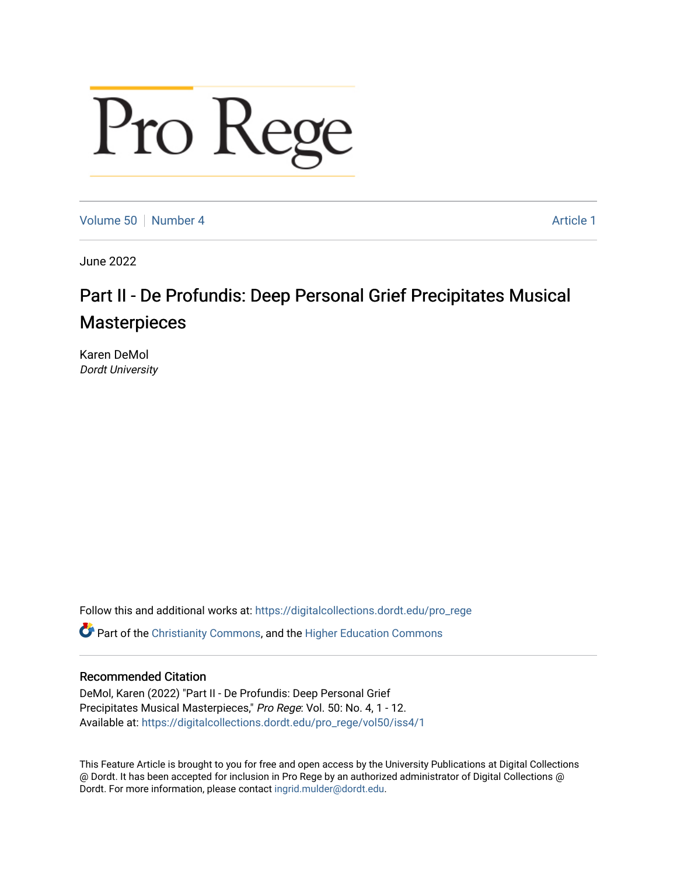# Pro Rege

[Volume 50](https://digitalcollections.dordt.edu/pro_rege/vol50) [Number 4](https://digitalcollections.dordt.edu/pro_rege/vol50/iss4) Article 1

June 2022

# Part II - De Profundis: Deep Personal Grief Precipitates Musical **Masterpieces**

Karen DeMol Dordt University

Follow this and additional works at: [https://digitalcollections.dordt.edu/pro\\_rege](https://digitalcollections.dordt.edu/pro_rege?utm_source=digitalcollections.dordt.edu%2Fpro_rege%2Fvol50%2Fiss4%2F1&utm_medium=PDF&utm_campaign=PDFCoverPages) 

Part of the [Christianity Commons,](https://network.bepress.com/hgg/discipline/1181?utm_source=digitalcollections.dordt.edu%2Fpro_rege%2Fvol50%2Fiss4%2F1&utm_medium=PDF&utm_campaign=PDFCoverPages) and the [Higher Education Commons](https://network.bepress.com/hgg/discipline/1245?utm_source=digitalcollections.dordt.edu%2Fpro_rege%2Fvol50%2Fiss4%2F1&utm_medium=PDF&utm_campaign=PDFCoverPages) 

## Recommended Citation

DeMol, Karen (2022) "Part II - De Profundis: Deep Personal Grief Precipitates Musical Masterpieces," Pro Rege: Vol. 50: No. 4, 1 - 12. Available at: [https://digitalcollections.dordt.edu/pro\\_rege/vol50/iss4/1](https://digitalcollections.dordt.edu/pro_rege/vol50/iss4/1?utm_source=digitalcollections.dordt.edu%2Fpro_rege%2Fvol50%2Fiss4%2F1&utm_medium=PDF&utm_campaign=PDFCoverPages) 

This Feature Article is brought to you for free and open access by the University Publications at Digital Collections @ Dordt. It has been accepted for inclusion in Pro Rege by an authorized administrator of Digital Collections @ Dordt. For more information, please contact [ingrid.mulder@dordt.edu.](mailto:ingrid.mulder@dordt.edu)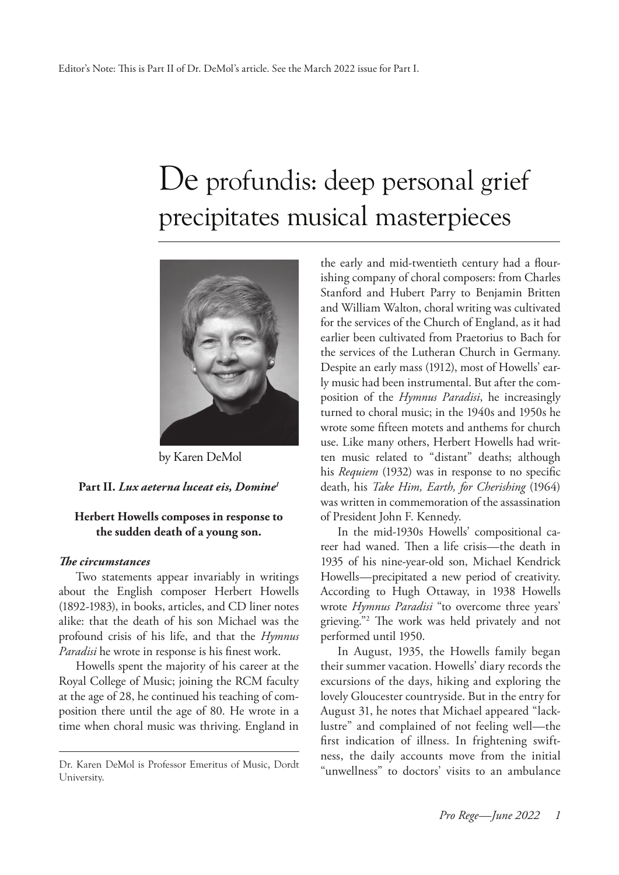# De profundis: deep personal grief precipitates musical masterpieces



by Karen DeMol

#### **Part II.** *Lux aeterna luceat eis, Domine1*

#### **Herbert Howells composes in response to the sudden death of a young son.**

#### *The circumstances*

Two statements appear invariably in writings about the English composer Herbert Howells (1892-1983), in books, articles, and CD liner notes alike: that the death of his son Michael was the profound crisis of his life, and that the *Hymnus Paradisi* he wrote in response is his finest work.

Howells spent the majority of his career at the Royal College of Music; joining the RCM faculty at the age of 28, he continued his teaching of composition there until the age of 80. He wrote in a time when choral music was thriving. England in

the early and mid-twentieth century had a flourishing company of choral composers: from Charles Stanford and Hubert Parry to Benjamin Britten and William Walton, choral writing was cultivated for the services of the Church of England, as it had earlier been cultivated from Praetorius to Bach for the services of the Lutheran Church in Germany. Despite an early mass (1912), most of Howells' early music had been instrumental. But after the composition of the *Hymnus Paradisi*, he increasingly turned to choral music; in the 1940s and 1950s he wrote some fifteen motets and anthems for church use. Like many others, Herbert Howells had written music related to "distant" deaths; although his *Requiem* (1932) was in response to no specific death, his *Take Him, Earth, for Cherishing* (1964) was written in commemoration of the assassination of President John F. Kennedy.

In the mid-1930s Howells' compositional career had waned. Then a life crisis—the death in 1935 of his nine-year-old son, Michael Kendrick Howells—precipitated a new period of creativity. According to Hugh Ottaway, in 1938 Howells wrote *Hymnus Paradisi* "to overcome three years' grieving."2 The work was held privately and not performed until 1950.

In August, 1935, the Howells family began their summer vacation. Howells' diary records the excursions of the days, hiking and exploring the lovely Gloucester countryside. But in the entry for August 31, he notes that Michael appeared "lacklustre" and complained of not feeling well—the first indication of illness. In frightening swiftness, the daily accounts move from the initial Dr. Karen DeMol is Professor Emeritus of Music, Dordt "unwellness" to doctors' visits to an ambulance

University.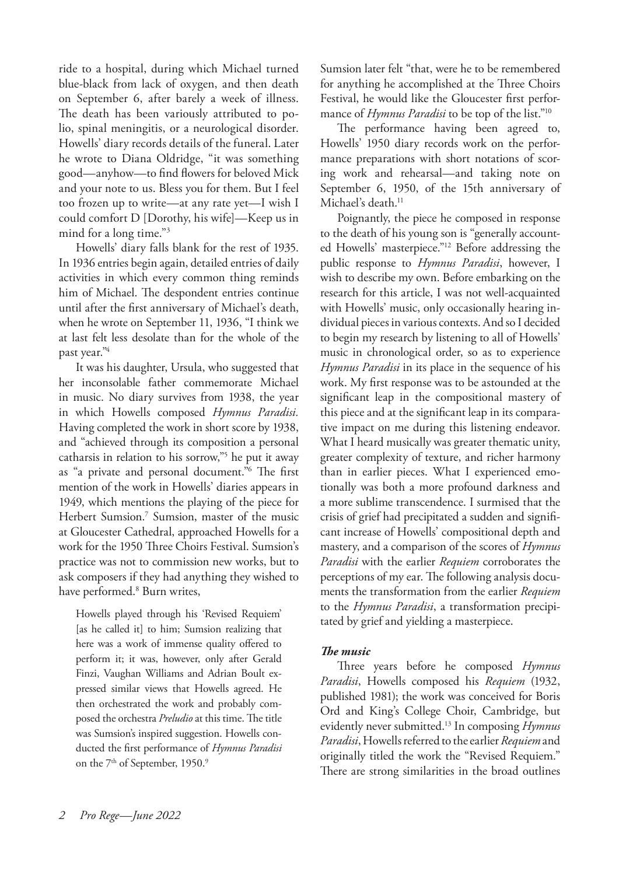ride to a hospital, during which Michael turned blue-black from lack of oxygen, and then death on September 6, after barely a week of illness. The death has been variously attributed to polio, spinal meningitis, or a neurological disorder. Howells' diary records details of the funeral. Later he wrote to Diana Oldridge, "it was something good—anyhow—to find flowers for beloved Mick and your note to us. Bless you for them. But I feel too frozen up to write—at any rate yet—I wish I could comfort D [Dorothy, his wife]—Keep us in mind for a long time."3

Howells' diary falls blank for the rest of 1935. In 1936 entries begin again, detailed entries of daily activities in which every common thing reminds him of Michael. The despondent entries continue until after the first anniversary of Michael's death, when he wrote on September 11, 1936, "I think we at last felt less desolate than for the whole of the past year."4

It was his daughter, Ursula, who suggested that her inconsolable father commemorate Michael in music. No diary survives from 1938, the year in which Howells composed *Hymnus Paradisi.*  Having completed the work in short score by 1938, and "achieved through its composition a personal catharsis in relation to his sorrow,"5 he put it away as "a private and personal document."6 The first mention of the work in Howells' diaries appears in 1949, which mentions the playing of the piece for Herbert Sumsion.7 Sumsion, master of the music at Gloucester Cathedral, approached Howells for a work for the 1950 Three Choirs Festival. Sumsion's practice was not to commission new works, but to ask composers if they had anything they wished to have performed.8 Burn writes,

Howells played through his 'Revised Requiem' [as he called it] to him; Sumsion realizing that here was a work of immense quality offered to perform it; it was, however, only after Gerald Finzi, Vaughan Williams and Adrian Boult expressed similar views that Howells agreed. He then orchestrated the work and probably composed the orchestra *Preludio* at this time. The title was Sumsion's inspired suggestion. Howells conducted the first performance of *Hymnus Paradisi* on the 7<sup>th</sup> of September, 1950.<sup>9</sup>

Sumsion later felt "that, were he to be remembered for anything he accomplished at the Three Choirs Festival, he would like the Gloucester first performance of *Hymnus Paradisi* to be top of the list."10

The performance having been agreed to, Howells' 1950 diary records work on the performance preparations with short notations of scoring work and rehearsal—and taking note on September 6, 1950, of the 15th anniversary of Michael's death.<sup>11</sup>

Poignantly, the piece he composed in response to the death of his young son is "generally accounted Howells' masterpiece."12 Before addressing the public response to *Hymnus Paradisi*, however, I wish to describe my own. Before embarking on the research for this article, I was not well-acquainted with Howells' music, only occasionally hearing individual pieces in various contexts. And so I decided to begin my research by listening to all of Howells' music in chronological order, so as to experience *Hymnus Paradisi* in its place in the sequence of his work. My first response was to be astounded at the significant leap in the compositional mastery of this piece and at the significant leap in its comparative impact on me during this listening endeavor. What I heard musically was greater thematic unity, greater complexity of texture, and richer harmony than in earlier pieces. What I experienced emotionally was both a more profound darkness and a more sublime transcendence. I surmised that the crisis of grief had precipitated a sudden and significant increase of Howells' compositional depth and mastery, and a comparison of the scores of *Hymnus Paradisi* with the earlier *Requiem* corroborates the perceptions of my ear. The following analysis documents the transformation from the earlier *Requiem* to the *Hymnus Paradisi*, a transformation precipitated by grief and yielding a masterpiece.

#### *The music*

Three years before he composed *Hymnus Paradisi*, Howells composed his *Requiem* (1932, published 1981); the work was conceived for Boris Ord and King's College Choir, Cambridge, but evidently never submitted.13 In composing *Hymnus Paradisi*, Howells referred to the earlier *Requiem* and originally titled the work the "Revised Requiem." There are strong similarities in the broad outlines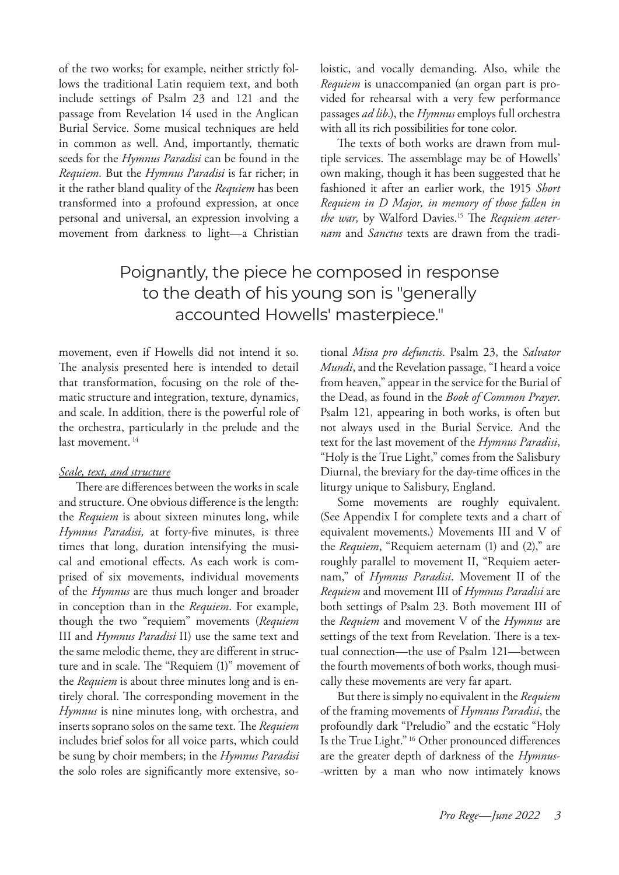of the two works; for example, neither strictly follows the traditional Latin requiem text, and both include settings of Psalm 23 and 121 and the passage from Revelation 14 used in the Anglican Burial Service. Some musical techniques are held in common as well. And, importantly, thematic seeds for the *Hymnus Paradisi* can be found in the *Requiem.* But the *Hymnus Paradisi* is far richer; in it the rather bland quality of the *Requiem* has been transformed into a profound expression, at once personal and universal, an expression involving a movement from darkness to light—a Christian loistic, and vocally demanding. Also, while the *Requiem* is unaccompanied (an organ part is provided for rehearsal with a very few performance passages *ad lib*.), the *Hymnus* employs full orchestra with all its rich possibilities for tone color.

The texts of both works are drawn from multiple services. The assemblage may be of Howells' own making, though it has been suggested that he fashioned it after an earlier work, the 1915 *Short Requiem in D Major, in memory of those fallen in the war,* by Walford Davies.15 The *Requiem aeternam* and *Sanctus* texts are drawn from the tradi-

# Poignantly, the piece he composed in response to the death of his young son is "generally accounted Howells' masterpiece."

movement, even if Howells did not intend it so. The analysis presented here is intended to detail that transformation, focusing on the role of thematic structure and integration, texture, dynamics, and scale. In addition, there is the powerful role of the orchestra, particularly in the prelude and the last movement.<sup>14</sup>

#### *Scale, text, and structure*

There are differences between the works in scale and structure. One obvious difference is the length: the *Requiem* is about sixteen minutes long, while *Hymnus Paradisi,* at forty-five minutes, is three times that long, duration intensifying the musical and emotional effects. As each work is comprised of six movements, individual movements of the *Hymnus* are thus much longer and broader in conception than in the *Requiem*. For example, though the two "requiem" movements (*Requiem* III and *Hymnus Paradisi* II) use the same text and the same melodic theme, they are different in structure and in scale. The "Requiem (1)" movement of the *Requiem* is about three minutes long and is entirely choral. The corresponding movement in the *Hymnus* is nine minutes long, with orchestra, and inserts soprano solos on the same text. The *Requiem* includes brief solos for all voice parts, which could be sung by choir members; in the *Hymnus Paradisi* the solo roles are significantly more extensive, sotional *Missa pro defunctis*. Psalm 23, the *Salvator Mundi*, and the Revelation passage, "I heard a voice from heaven," appear in the service for the Burial of the Dead, as found in the *Book of Common Prayer*. Psalm 121, appearing in both works, is often but not always used in the Burial Service. And the text for the last movement of the *Hymnus Paradisi*, "Holy is the True Light," comes from the Salisbury Diurnal, the breviary for the day-time offices in the liturgy unique to Salisbury, England.

Some movements are roughly equivalent. (See Appendix I for complete texts and a chart of equivalent movements.) Movements III and V of the *Requiem*, "Requiem aeternam (1) and (2)," are roughly parallel to movement II, "Requiem aeternam," of *Hymnus Paradisi*. Movement II of the *Requiem* and movement III of *Hymnus Paradisi* are both settings of Psalm 23. Both movement III of the *Requiem* and movement V of the *Hymnus* are settings of the text from Revelation. There is a textual connection—the use of Psalm 121—between the fourth movements of both works, though musically these movements are very far apart.

But there is simply no equivalent in the *Requiem*  of the framing movements of *Hymnus Paradisi*, the profoundly dark "Preludio" and the ecstatic "Holy Is the True Light." 16 Other pronounced differences are the greater depth of darkness of the *Hymnus*- -written by a man who now intimately knows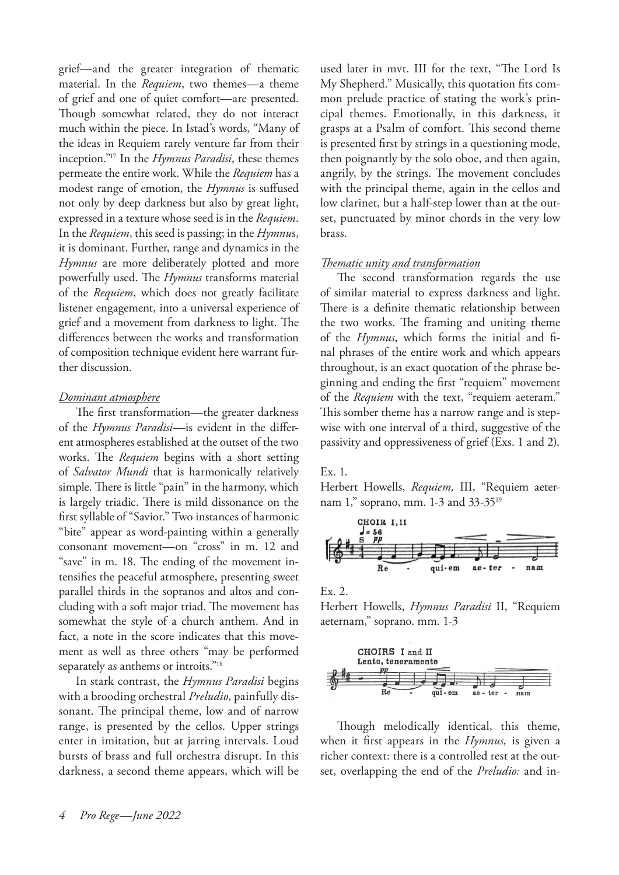grief—and the greater integration of thematic material. In the *Requiem*, two themes—a theme of grief and one of quiet comfort—are presented. Though somewhat related, they do not interact much within the piece. In Istad's words, "Many of the ideas in Requiem rarely venture far from their inception."17 In the *Hymnus Paradisi*, these themes permeate the entire work. While the *Requiem* has a modest range of emotion, the *Hymnus* is suffused not only by deep darkness but also by great light, expressed in a texture whose seed is in the *Requiem*. In the *Requiem*, this seed is passing; in the *Hymnu*s, it is dominant. Further, range and dynamics in the *Hymnus* are more deliberately plotted and more powerfully used. The *Hymnus* transforms material of the *Requiem*, which does not greatly facilitate listener engagement, into a universal experience of grief and a movement from darkness to light. The differences between the works and transformation of composition technique evident here warrant further discussion.

#### *Dominant atmosphere*

The first transformation—the greater darkness of the *Hymnus Paradisi*—is evident in the different atmospheres established at the outset of the two works. The *Requiem* begins with a short setting of *Salvator Mundi* that is harmonically relatively simple. There is little "pain" in the harmony, which is largely triadic. There is mild dissonance on the first syllable of "Savior." Two instances of harmonic "bite" appear as word-painting within a generally consonant movement—on "cross" in m. 12 and "save" in m. 18. The ending of the movement intensifies the peaceful atmosphere, presenting sweet parallel thirds in the sopranos and altos and concluding with a soft major triad. The movement has somewhat the style of a church anthem. And in fact, a note in the score indicates that this movement as well as three others "may be performed separately as anthems or introits."18

In stark contrast, the *Hymnus Paradisi* begins with a brooding orchestral *Preludio*, painfully dissonant. The principal theme, low and of narrow range, is presented by the cellos. Upper strings enter in imitation, but at jarring intervals. Loud bursts of brass and full orchestra disrupt. In this darkness, a second theme appears, which will be

used later in mvt. III for the text, "The Lord Is My Shepherd." Musically, this quotation fits common prelude practice of stating the work's principal themes. Emotionally, in this darkness, it grasps at a Psalm of comfort. This second theme is presented first by strings in a questioning mode, then poignantly by the solo oboe, and then again, angrily, by the strings. The movement concludes with the principal theme, again in the cellos and low clarinet, but a half-step lower than at the outset, punctuated by minor chords in the very low brass.

#### *Thematic unity and transformation*

The second transformation regards the use of similar material to express darkness and light. There is a definite thematic relationship between the two works. The framing and uniting theme of the *Hymnus*, which forms the initial and final phrases of the entire work and which appears throughout, is an exact quotation of the phrase beginning and ending the first "requiem" movement of the *Requiem* with the text, "requiem aeteram." This somber theme has a narrow range and is stepwise with one interval of a third, suggestive of the passivity and oppressiveness of grief (Exs. 1 and 2).

#### Ex. 1.

Herbert Howells, *Requiem,* III, "Requiem aeternam 1," soprano, mm. 1-3 and 33-3519



Ex. 2.

Herbert Howells, *Hymnus Paradisi* II, "Requiem aeternam," soprano. mm. 1-3



Though melodically identical, this theme, when it first appears in the *Hymnus,* is given a richer context: there is a controlled rest at the outset, overlapping the end of the *Preludio:* and in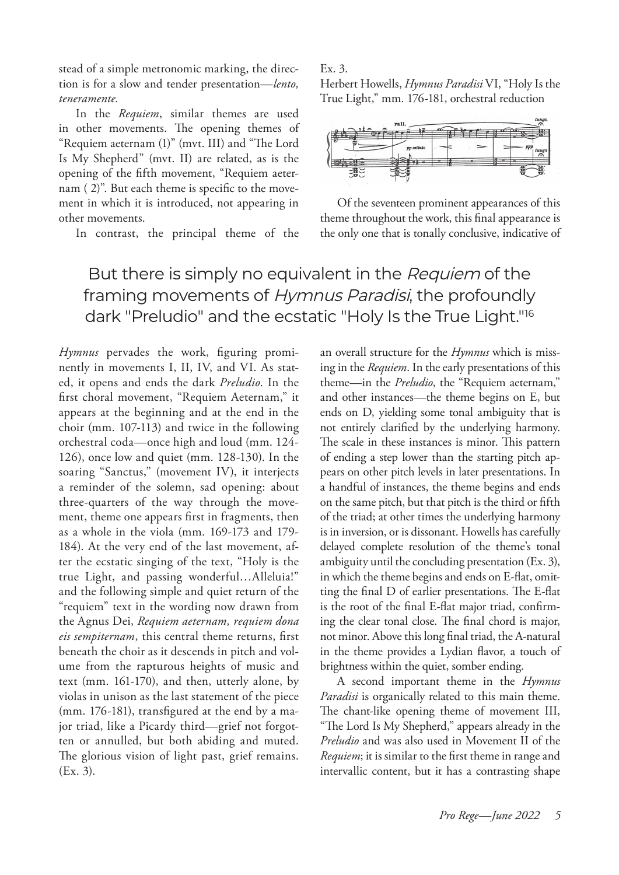stead of a simple metronomic marking, the direction is for a slow and tender presentation—*lento, teneramente.*

In the *Requiem*, similar themes are used in other movements. The opening themes of "Requiem aeternam (1)" (mvt. III) and "The Lord Is My Shepherd" (mvt. II) are related, as is the opening of the fifth movement, "Requiem aeternam ( 2)". But each theme is specific to the movement in which it is introduced, not appearing in other movements.

In contrast, the principal theme of the

#### Ex. 3.

Herbert Howells, *Hymnus Paradisi* VI, "Holy Is the True Light," mm. 176-181, orchestral reduction



Of the seventeen prominent appearances of this theme throughout the work, this final appearance is the only one that is tonally conclusive, indicative of

# But there is simply no equivalent in the Requiem of the framing movements of Hymnus Paradisi, the profoundly dark "Preludio" and the ecstatic "Holy Is the True Light."16

*Hymnus* pervades the work, figuring prominently in movements I, II, IV, and VI. As stated, it opens and ends the dark *Preludio*. In the first choral movement, "Requiem Aeternam," it appears at the beginning and at the end in the choir (mm. 107-113) and twice in the following orchestral coda—once high and loud (mm. 124- 126), once low and quiet (mm. 128-130). In the soaring "Sanctus," (movement IV), it interjects a reminder of the solemn, sad opening: about three-quarters of the way through the movement, theme one appears first in fragments, then as a whole in the viola (mm. 169-173 and 179- 184). At the very end of the last movement, after the ecstatic singing of the text, "Holy is the true Light, and passing wonderful…Alleluia!" and the following simple and quiet return of the "requiem" text in the wording now drawn from the Agnus Dei, *Requiem aeternam, requiem dona eis sempiternam*, this central theme returns, first beneath the choir as it descends in pitch and volume from the rapturous heights of music and text (mm. 161-170), and then, utterly alone, by violas in unison as the last statement of the piece (mm. 176-181), transfigured at the end by a major triad, like a Picardy third—grief not forgotten or annulled, but both abiding and muted. The glorious vision of light past, grief remains. (Ex. 3).

an overall structure for the *Hymnus* which is missing in the *Requiem*. In the early presentations of this theme—in the *Preludio*, the "Requiem aeternam," and other instances—the theme begins on E, but ends on D, yielding some tonal ambiguity that is not entirely clarified by the underlying harmony. The scale in these instances is minor. This pattern of ending a step lower than the starting pitch appears on other pitch levels in later presentations. In a handful of instances, the theme begins and ends on the same pitch, but that pitch is the third or fifth of the triad; at other times the underlying harmony is in inversion, or is dissonant. Howells has carefully delayed complete resolution of the theme's tonal ambiguity until the concluding presentation (Ex. 3), in which the theme begins and ends on E-flat, omitting the final D of earlier presentations. The E-flat is the root of the final E-flat major triad, confirming the clear tonal close. The final chord is major, not minor. Above this long final triad, the A-natural in the theme provides a Lydian flavor, a touch of brightness within the quiet, somber ending.

A second important theme in the *Hymnus Paradisi* is organically related to this main theme. The chant-like opening theme of movement III, "The Lord Is My Shepherd," appears already in the *Preludio* and was also used in Movement II of the *Requiem*; it is similar to the first theme in range and intervallic content, but it has a contrasting shape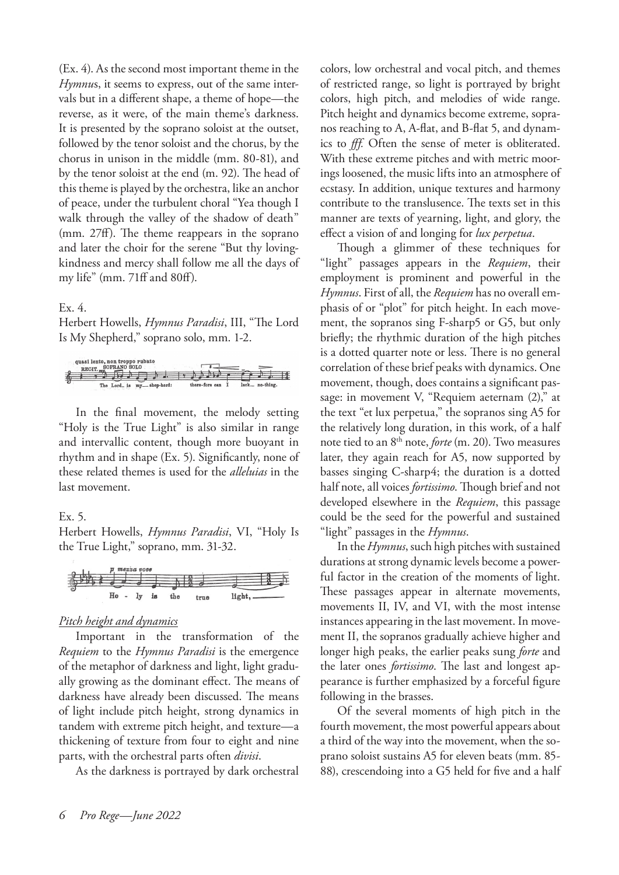(Ex. 4). As the second most important theme in the *Hymnu*s, it seems to express, out of the same intervals but in a different shape, a theme of hope—the reverse, as it were, of the main theme's darkness. It is presented by the soprano soloist at the outset, followed by the tenor soloist and the chorus, by the chorus in unison in the middle (mm. 80-81), and by the tenor soloist at the end (m. 92). The head of this theme is played by the orchestra, like an anchor of peace, under the turbulent choral "Yea though I walk through the valley of the shadow of death" (mm. 27ff). The theme reappears in the soprano and later the choir for the serene "But thy lovingkindness and mercy shall follow me all the days of my life" (mm. 71ff and 80ff).

#### Ex. 4.

Herbert Howells, *Hymnus Paradisi*, III, "The Lord Is My Shepherd," soprano solo, mm. 1-2.



In the final movement, the melody setting "Holy is the True Light" is also similar in range and intervallic content, though more buoyant in rhythm and in shape (Ex. 5). Significantly, none of these related themes is used for the *alleluias* in the last movement.

#### Ex. 5.

Herbert Howells, *Hymnus Paradisi*, VI, "Holy Is the True Light," soprano, mm. 31-32.

#### *Pitch height and dynamics*

Important in the transformation of the *Requiem* to the *Hymnus Paradisi* is the emergence of the metaphor of darkness and light, light gradually growing as the dominant effect. The means of darkness have already been discussed. The means of light include pitch height, strong dynamics in tandem with extreme pitch height, and texture—a thickening of texture from four to eight and nine parts, with the orchestral parts often *divisi*.

As the darkness is portrayed by dark orchestral

colors, low orchestral and vocal pitch, and themes of restricted range, so light is portrayed by bright colors, high pitch, and melodies of wide range. Pitch height and dynamics become extreme, sopranos reaching to A, A-flat, and B-flat 5, and dynamics to *fff.* Often the sense of meter is obliterated. With these extreme pitches and with metric moorings loosened, the music lifts into an atmosphere of ecstasy. In addition, unique textures and harmony contribute to the translusence. The texts set in this manner are texts of yearning, light, and glory, the effect a vision of and longing for *lux perpetua*.

Though a glimmer of these techniques for "light" passages appears in the *Requiem*, their employment is prominent and powerful in the *Hymnus*. First of all, the *Requiem* has no overall emphasis of or "plot" for pitch height. In each movement, the sopranos sing F-sharp5 or G5, but only briefly; the rhythmic duration of the high pitches is a dotted quarter note or less. There is no general correlation of these brief peaks with dynamics. One movement, though, does contains a significant passage: in movement V, "Requiem aeternam (2)," at the text "et lux perpetua," the sopranos sing A5 for the relatively long duration, in this work, of a half note tied to an 8th note, *forte* (m. 20). Two measures later, they again reach for A5, now supported by basses singing C-sharp4; the duration is a dotted half note, all voices *fortissimo*. Though brief and not developed elsewhere in the *Requiem*, this passage could be the seed for the powerful and sustained "light" passages in the *Hymnus*.

In the *Hymnus*, such high pitches with sustained durations at strong dynamic levels become a powerful factor in the creation of the moments of light. These passages appear in alternate movements, movements II, IV, and VI, with the most intense instances appearing in the last movement. In movement II, the sopranos gradually achieve higher and longer high peaks, the earlier peaks sung *forte* and the later ones *fortissimo*. The last and longest appearance is further emphasized by a forceful figure following in the brasses.

Of the several moments of high pitch in the fourth movement, the most powerful appears about a third of the way into the movement, when the soprano soloist sustains A5 for eleven beats (mm. 85- 88), crescendoing into a G5 held for five and a half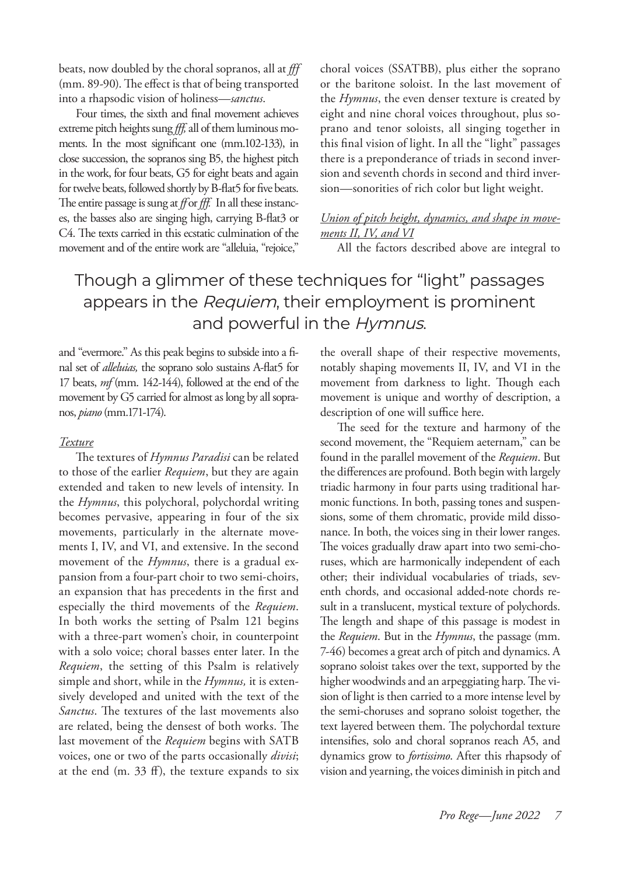beats, now doubled by the choral sopranos, all at *fff* (mm. 89-90). The effect is that of being transported into a rhapsodic vision of holiness—*sanctus*.

Four times, the sixth and final movement achieves extreme pitch heights sung *fff,* all of them luminous moments. In the most significant one (mm.102-133), in close succession, the sopranos sing B5, the highest pitch in the work, for four beats, G5 for eight beats and again for twelve beats, followed shortly by B-flat5 for five beats. The entire passage is sung at *ff* or *fff.* In all these instances, the basses also are singing high, carrying B-flat3 or C4. The texts carried in this ecstatic culmination of the movement and of the entire work are "alleluia, "rejoice," choral voices (SSATBB), plus either the soprano or the baritone soloist. In the last movement of the *Hymnus*, the even denser texture is created by eight and nine choral voices throughout, plus soprano and tenor soloists, all singing together in this final vision of light. In all the "light" passages there is a preponderance of triads in second inversion and seventh chords in second and third inversion—sonorities of rich color but light weight.

#### *Union of pitch height, dynamics, and shape in movements II, IV, and VI*

All the factors described above are integral to

# Though a glimmer of these techniques for "light" passages appears in the Requiem, their employment is prominent and powerful in the Hymnus.

and "evermore." As this peak begins to subside into a final set of *alleluias,* the soprano solo sustains A-flat5 for 17 beats, *mf* (mm. 142-144), followed at the end of the movement by G5 carried for almost as long by all sopranos, *piano* (mm.171-174).

#### *Texture*

The textures of *Hymnus Paradisi* can be related to those of the earlier *Requiem*, but they are again extended and taken to new levels of intensity. In the *Hymnus*, this polychoral, polychordal writing becomes pervasive, appearing in four of the six movements, particularly in the alternate movements I, IV, and VI, and extensive. In the second movement of the *Hymnus*, there is a gradual expansion from a four-part choir to two semi-choirs, an expansion that has precedents in the first and especially the third movements of the *Requiem*. In both works the setting of Psalm 121 begins with a three-part women's choir, in counterpoint with a solo voice; choral basses enter later. In the *Requiem*, the setting of this Psalm is relatively simple and short, while in the *Hymnus,* it is extensively developed and united with the text of the *Sanctus*. The textures of the last movements also are related, being the densest of both works. The last movement of the *Requiem* begins with SATB voices, one or two of the parts occasionally *divisi*; at the end (m. 33 ff), the texture expands to six

the overall shape of their respective movements, notably shaping movements II, IV, and VI in the movement from darkness to light. Though each movement is unique and worthy of description, a description of one will suffice here.

The seed for the texture and harmony of the second movement, the "Requiem aeternam," can be found in the parallel movement of the *Requiem*. But the differences are profound. Both begin with largely triadic harmony in four parts using traditional harmonic functions. In both, passing tones and suspensions, some of them chromatic, provide mild dissonance. In both, the voices sing in their lower ranges. The voices gradually draw apart into two semi-choruses, which are harmonically independent of each other; their individual vocabularies of triads, seventh chords, and occasional added-note chords result in a translucent, mystical texture of polychords. The length and shape of this passage is modest in the *Requiem*. But in the *Hymnus*, the passage (mm. 7-46) becomes a great arch of pitch and dynamics. A soprano soloist takes over the text, supported by the higher woodwinds and an arpeggiating harp. The vision of light is then carried to a more intense level by the semi-choruses and soprano soloist together, the text layered between them. The polychordal texture intensifies, solo and choral sopranos reach A5, and dynamics grow to *fortissimo*. After this rhapsody of vision and yearning, the voices diminish in pitch and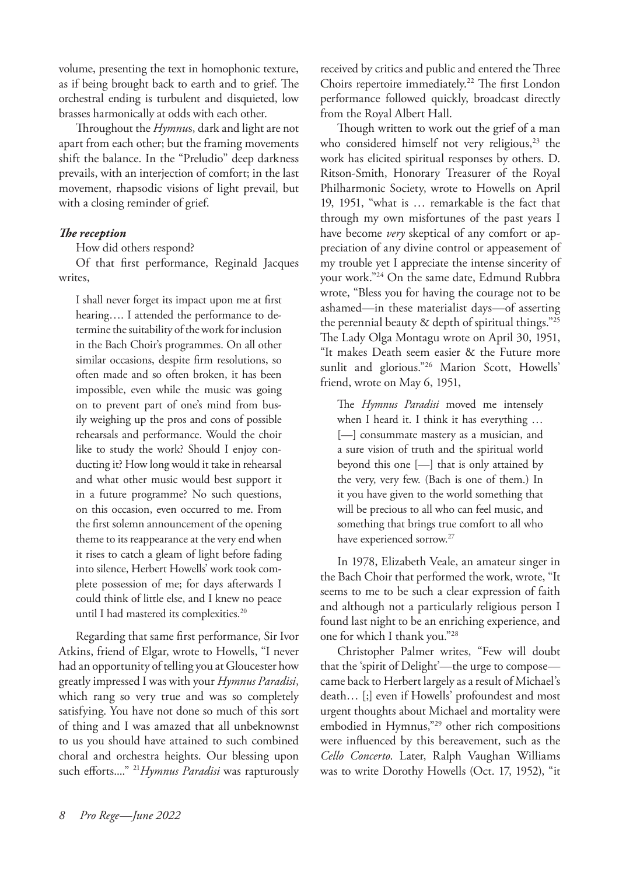volume, presenting the text in homophonic texture, as if being brought back to earth and to grief. The orchestral ending is turbulent and disquieted, low brasses harmonically at odds with each other.

Throughout the *Hymnu*s, dark and light are not apart from each other; but the framing movements shift the balance. In the "Preludio" deep darkness prevails, with an interjection of comfort; in the last movement, rhapsodic visions of light prevail, but with a closing reminder of grief.

#### *The reception*

How did others respond?

Of that first performance, Reginald Jacques writes,

I shall never forget its impact upon me at first hearing…. I attended the performance to determine the suitability of the work for inclusion in the Bach Choir's programmes. On all other similar occasions, despite firm resolutions, so often made and so often broken, it has been impossible, even while the music was going on to prevent part of one's mind from busily weighing up the pros and cons of possible rehearsals and performance. Would the choir like to study the work? Should I enjoy conducting it? How long would it take in rehearsal and what other music would best support it in a future programme? No such questions, on this occasion, even occurred to me. From the first solemn announcement of the opening theme to its reappearance at the very end when it rises to catch a gleam of light before fading into silence, Herbert Howells' work took complete possession of me; for days afterwards I could think of little else, and I knew no peace until I had mastered its complexities.<sup>20</sup>

Regarding that same first performance, Sir Ivor Atkins, friend of Elgar, wrote to Howells, "I never had an opportunity of telling you at Gloucester how greatly impressed I was with your *Hymnus Paradisi*, which rang so very true and was so completely satisfying. You have not done so much of this sort of thing and I was amazed that all unbeknownst to us you should have attained to such combined choral and orchestra heights. Our blessing upon such efforts...." 21*Hymnus Paradisi* was rapturously received by critics and public and entered the Three Choirs repertoire immediately.<sup>22</sup> The first London performance followed quickly, broadcast directly from the Royal Albert Hall.

Though written to work out the grief of a man who considered himself not very religious, $23$  the work has elicited spiritual responses by others. D. Ritson-Smith, Honorary Treasurer of the Royal Philharmonic Society, wrote to Howells on April 19, 1951, "what is … remarkable is the fact that through my own misfortunes of the past years I have become *very* skeptical of any comfort or appreciation of any divine control or appeasement of my trouble yet I appreciate the intense sincerity of your work."24 On the same date, Edmund Rubbra wrote, "Bless you for having the courage not to be ashamed—in these materialist days—of asserting the perennial beauty  $\&$  depth of spiritual things."25 The Lady Olga Montagu wrote on April 30, 1951, "It makes Death seem easier & the Future more sunlit and glorious."<sup>26</sup> Marion Scott, Howells' friend, wrote on May 6, 1951,

The *Hymnus Paradisi* moved me intensely when I heard it. I think it has everything … [—] consummate mastery as a musician, and a sure vision of truth and the spiritual world beyond this one [—] that is only attained by the very, very few. (Bach is one of them.) In it you have given to the world something that will be precious to all who can feel music, and something that brings true comfort to all who have experienced sorrow.27

In 1978, Elizabeth Veale, an amateur singer in the Bach Choir that performed the work, wrote, "It seems to me to be such a clear expression of faith and although not a particularly religious person I found last night to be an enriching experience, and one for which I thank you."28

Christopher Palmer writes, "Few will doubt that the 'spirit of Delight'—the urge to compose came back to Herbert largely as a result of Michael's death… [;] even if Howells' profoundest and most urgent thoughts about Michael and mortality were embodied in Hymnus,"29 other rich compositions were influenced by this bereavement, such as the *Cello Concerto*. Later, Ralph Vaughan Williams was to write Dorothy Howells (Oct. 17, 1952), "it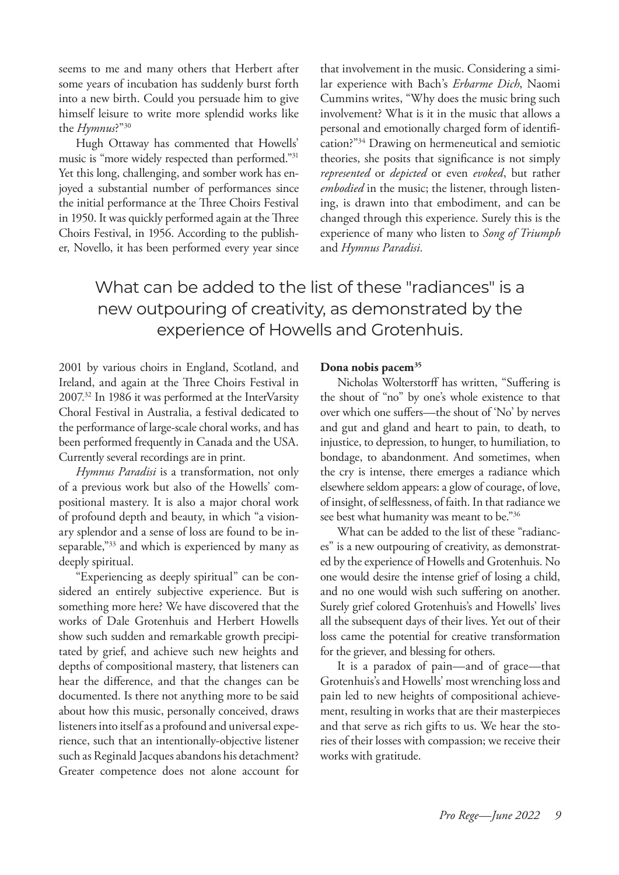seems to me and many others that Herbert after some years of incubation has suddenly burst forth into a new birth. Could you persuade him to give himself leisure to write more splendid works like the *Hymnus*?"30

Hugh Ottaway has commented that Howells' music is "more widely respected than performed."31 Yet this long, challenging, and somber work has enjoyed a substantial number of performances since the initial performance at the Three Choirs Festival in 1950. It was quickly performed again at the Three Choirs Festival, in 1956. According to the publisher, Novello, it has been performed every year since that involvement in the music. Considering a similar experience with Bach's *Erbarme Dich*, Naomi Cummins writes, "Why does the music bring such involvement? What is it in the music that allows a personal and emotionally charged form of identification?"34 Drawing on hermeneutical and semiotic theories, she posits that significance is not simply *represented* or *depicted* or even *evoked*, but rather *embodied* in the music; the listener, through listening, is drawn into that embodiment, and can be changed through this experience. Surely this is the experience of many who listen to *Song of Triumph* and *Hymnus Paradisi.*

What can be added to the list of these "radiances" is a new outpouring of creativity, as demonstrated by the experience of Howells and Grotenhuis.

2001 by various choirs in England, Scotland, and Ireland, and again at the Three Choirs Festival in 2007.32 In 1986 it was performed at the InterVarsity Choral Festival in Australia, a festival dedicated to the performance of large-scale choral works, and has been performed frequently in Canada and the USA. Currently several recordings are in print.

*Hymnus Paradisi* is a transformation, not only of a previous work but also of the Howells' compositional mastery. It is also a major choral work of profound depth and beauty, in which "a visionary splendor and a sense of loss are found to be inseparable,"33 and which is experienced by many as deeply spiritual.

"Experiencing as deeply spiritual" can be considered an entirely subjective experience. But is something more here? We have discovered that the works of Dale Grotenhuis and Herbert Howells show such sudden and remarkable growth precipitated by grief, and achieve such new heights and depths of compositional mastery, that listeners can hear the difference, and that the changes can be documented. Is there not anything more to be said about how this music, personally conceived, draws listeners into itself as a profound and universal experience, such that an intentionally-objective listener such as Reginald Jacques abandons his detachment? Greater competence does not alone account for

#### **Dona nobis pacem35**

Nicholas Wolterstorff has written, "Suffering is the shout of "no" by one's whole existence to that over which one suffers—the shout of 'No' by nerves and gut and gland and heart to pain, to death, to injustice, to depression, to hunger, to humiliation, to bondage, to abandonment. And sometimes, when the cry is intense, there emerges a radiance which elsewhere seldom appears: a glow of courage, of love, of insight, of selflessness, of faith. In that radiance we see best what humanity was meant to be."36

What can be added to the list of these "radiances" is a new outpouring of creativity, as demonstrated by the experience of Howells and Grotenhuis. No one would desire the intense grief of losing a child, and no one would wish such suffering on another. Surely grief colored Grotenhuis's and Howells' lives all the subsequent days of their lives. Yet out of their loss came the potential for creative transformation for the griever, and blessing for others.

It is a paradox of pain—and of grace—that Grotenhuis's and Howells' most wrenching loss and pain led to new heights of compositional achievement, resulting in works that are their masterpieces and that serve as rich gifts to us. We hear the stories of their losses with compassion; we receive their works with gratitude.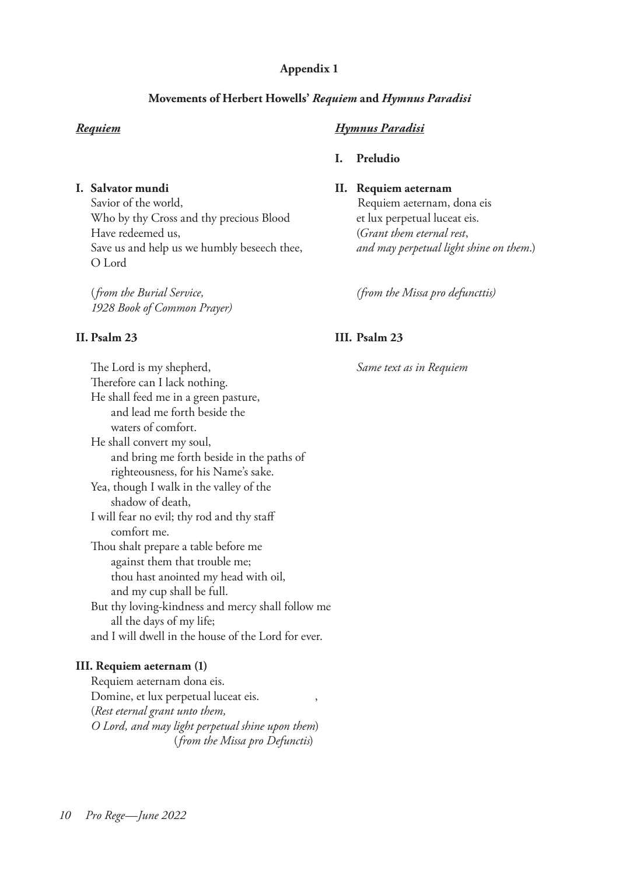#### **Appendix 1**

## **Movements of Herbert Howells'** *Requiem* **and** *Hymnus Paradisi*

Savior of the world, Savior of the world, Requiem aeternam, dona eis Who by thy Cross and thy precious Blood et lux perpetual luceat eis. Have redeemed us, (*Grant them eternal rest*, Save us and help us we humbly beseech thee, *and may perpetual light shine on them*.) O Lord

 (*from the Burial Service, (from the Missa pro defuncttis) 1928 Book of Common Prayer)* 

 The Lord is my shepherd, *Same text as in Requiem* Therefore can I lack nothing. He shall feed me in a green pasture, and lead me forth beside the waters of comfort. He shall convert my soul, and bring me forth beside in the paths of righteousness, for his Name's sake. Yea, though I walk in the valley of the shadow of death, I will fear no evil; thy rod and thy staff comfort me. Thou shalt prepare a table before me against them that trouble me; thou hast anointed my head with oil, and my cup shall be full. But thy loving-kindness and mercy shall follow me all the days of my life; and I will dwell in the house of the Lord for ever.

## **III. Requiem aeternam (1)**

 Requiem aeternam dona eis. Domine, et lux perpetual luceat eis. , (*Rest eternal grant unto them, O Lord, and may light perpetual shine upon them*)(*from the Missa pro Defunctis*)

## *Requiem**Hymnus Paradisi*

#### **I. Preludio**

## **I. Salvator mundi II. Requiem aeternam**

## **II. Psalm 23 III. Psalm 23**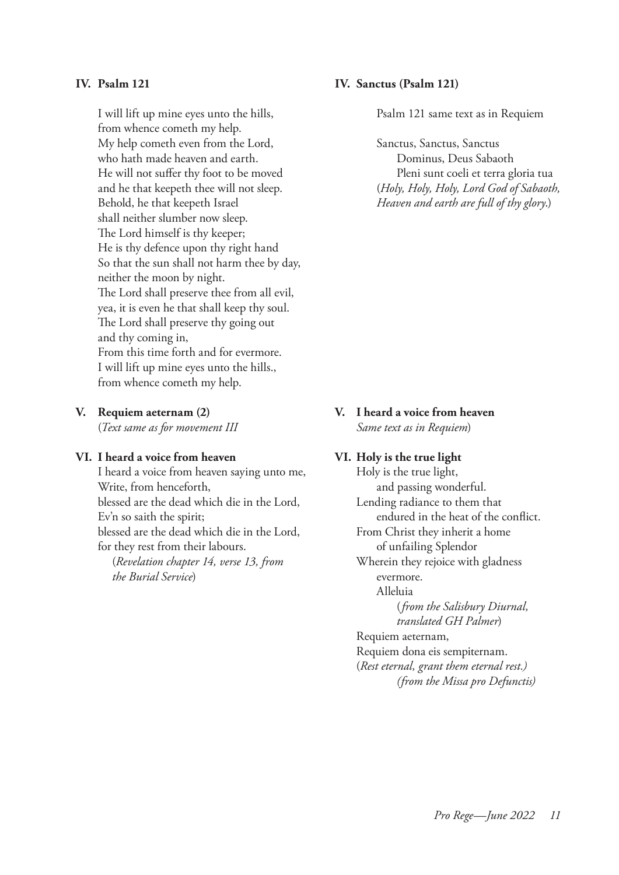I will lift up mine eyes unto the hills, Psalm 121 same text as in Requiem from whence cometh my help. My help cometh even from the Lord, Sanctus, Sanctus, Sanctus, Sanctus, Sanctus, Sanctus, Sanctus, Sanctus, Sanctus, Sanctus, Sanctus, Sanctus, Sanctus, Sanctus, Sanctus, Sanctus, Sanctus, Sanctus, Sanctus, Sanctus, Sanctus who hath made heaven and earth. Dominus, Deus Sabaoth He will not suffer thy foot to be moved Pleni sunt coeli et terra gloria tua and he that keepeth thee will not sleep. (*Holy, Holy, Holy, Lord God of Sabaoth,* Behold, he that keepeth Israel *Heaven and earth are full of thy glory*.) shall neither slumber now sleep. The Lord himself is thy keeper; He is thy defence upon thy right hand So that the sun shall not harm thee by day, neither the moon by night. The Lord shall preserve thee from all evil, yea, it is even he that shall keep thy soul. The Lord shall preserve thy going out and thy coming in, From this time forth and for evermore. I will lift up mine eyes unto the hills., from whence cometh my help.

#### **VI. I heard a voice from heaven VI. Holy is the true light**

I heard a voice from heaven saying unto me, Holy is the true light, Write, from henceforth,  $and passing wonderful$ . blessed are the dead which die in the Lord, Lending radiance to them that Ev'n so saith the spirit; endured in the heat of the conflict. blessed are the dead which die in the Lord, From Christ they inherit a home for they rest from their labours. The of unfailing Splendor

*the Burial Service*) evermore.

#### **IV. Psalm 121 IV. Sanctus (Psalm 121)**

**V. Requiem aeternam (2) V. I heard a voice from heaven** (*Text same as for movement III Same text as in Requiem*)

 (*Revelation chapter 14, verse 13, from* Wherein they rejoice with gladness Alleluia (*from the Salisbury Diurnal, translated GH Palmer*) Requiem aeternam, Requiem dona eis sempiternam. (*Rest eternal, grant them eternal rest.) (from the Missa pro Defunctis)*